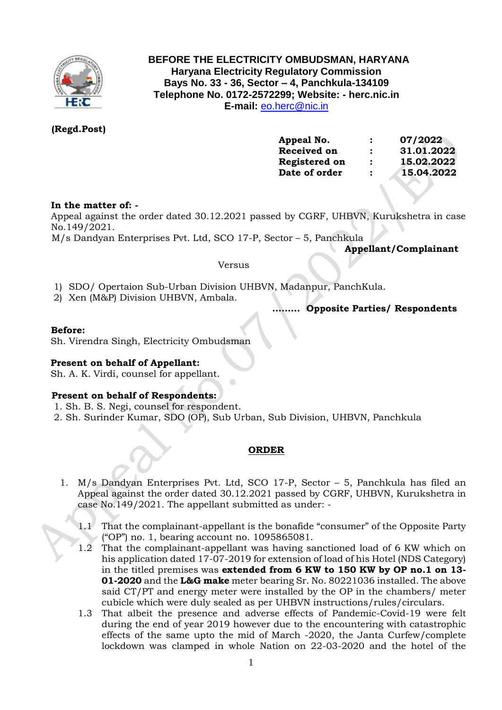

# **BEFORE THE ELECTRICITY OMBUDSMAN, HARYANA Haryana Electricity Regulatory Commission Bays No. 33 - 36, Sector – 4, Panchkula-134109 Telephone No. 0172-2572299; Website: - herc.nic.in E-mail:** [eo.herc@nic.in](mailto:eo.herc@nic.in)

# **(Regd.Post)**

| Appeal No.    | :              | 07/2022    |
|---------------|----------------|------------|
| Received on   | $\ddot{\cdot}$ | 31.01.2022 |
| Registered on | $\ddot{\cdot}$ | 15.02.2022 |
| Date of order | $\ddot{\cdot}$ | 15.04.2022 |
|               |                |            |

# **In the matter of: -**

Appeal against the order dated 30.12.2021 passed by CGRF, UHBVN, Kurukshetra in case No.149/2021.

M/s Dandyan Enterprises Pvt. Ltd, SCO 17-P, Sector – 5, Panchkula

 **Appellant/Complainant** 

#### Versus

- 1) SDO/ Opertaion Sub-Urban Division UHBVN, Madanpur, PanchKula.
- 2) Xen (M&P) Division UHBVN, Ambala.

 **……… Opposite Parties/ Respondents**

### **Before:**

Sh. Virendra Singh, Electricity Ombudsman

# **Present on behalf of Appellant:**

Sh. A. K. Virdi, counsel for appellant.

#### **Present on behalf of Respondents:**

- 1. Sh. B. S. Negi, counsel for respondent.
- 2. Sh. Surinder Kumar, SDO (OP), Sub Urban, Sub Division, UHBVN, Panchkula

# **ORDER**

- 1. M/s Dandyan Enterprises Pvt. Ltd, SCO 17-P, Sector 5, Panchkula has filed an Appeal against the order dated 30.12.2021 passed by CGRF, UHBVN, Kurukshetra in case No.149/2021. The appellant submitted as under: -
	- 1.1 That the complainant-appellant is the bonafide "consumer" of the Opposite Party ("OP") no. 1, bearing account no. 1095865081.
	- 1.2 That the complainant-appellant was having sanctioned load of 6 KW which on his application dated 17-07-2019 for extension of load of his Hotel (NDS Category) in the titled premises was **extended from 6 KW to 150 KW by OP no.1 on 13- 01-2020** and the **L&G make** meter bearing Sr. No. 80221036 installed. The above said CT/PT and energy meter were installed by the OP in the chambers/ meter cubicle which were duly sealed as per UHBVN instructions/rules/circulars.
	- 1.3 That albeit the presence and adverse effects of Pandemic-Covid-19 were felt during the end of year 2019 however due to the encountering with catastrophic effects of the same upto the mid of March -2020, the Janta Curfew/complete lockdown was clamped in whole Nation on 22-03-2020 and the hotel of the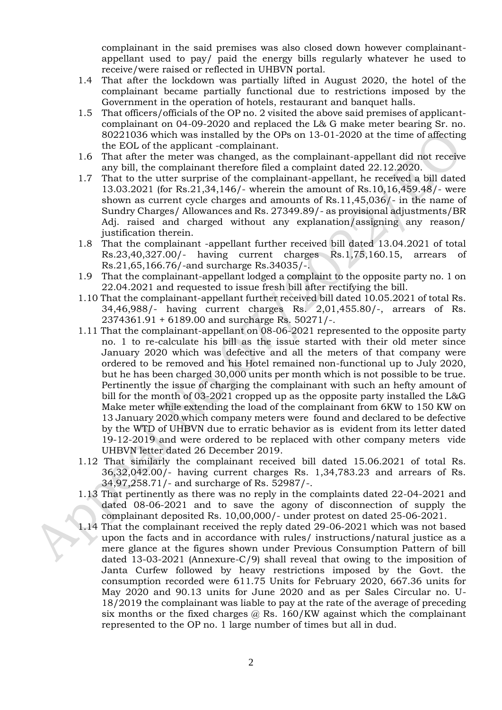complainant in the said premises was also closed down however complainantappellant used to pay/ paid the energy bills regularly whatever he used to receive/were raised or reflected in UHBVN portal.

- 1.4 That after the lockdown was partially lifted in August 2020, the hotel of the complainant became partially functional due to restrictions imposed by the Government in the operation of hotels, restaurant and banquet halls.
- 1.5 That officers/officials of the OP no. 2 visited the above said premises of applicantcomplainant on 04-09-2020 and replaced the L& G make meter bearing Sr. no. 80221036 which was installed by the OPs on 13-01-2020 at the time of affecting the EOL of the applicant -complainant.
- 1.6 That after the meter was changed, as the complainant-appellant did not receive any bill, the complainant therefore filed a complaint dated 22.12.2020.
- 1.7 That to the utter surprise of the complainant-appellant, he received a bill dated 13.03.2021 (for Rs.21,34,146/- wherein the amount of Rs.10,16,459.48/- were shown as current cycle charges and amounts of Rs.11,45,036/- in the name of Sundry Charges/ Allowances and Rs. 27349.89/- as provisional adjustments/BR Adj. raised and charged without any explanation/assigning any reason/ justification therein.
- 1.8 That the complainant -appellant further received bill dated 13.04.2021 of total Rs.23,40,327.00/- having current charges Rs.1,75,160.15, arrears of Rs.21,65,166.76/-and surcharge Rs.34035/-.
- 1.9 That the complainant-appellant lodged a complaint to the opposite party no. 1 on 22.04.2021 and requested to issue fresh bill after rectifying the bill.
- 1.10 That the complainant-appellant further received bill dated 10.05.2021 of total Rs. 34,46,988/- having current charges Rs. 2,01,455.80/-, arrears of Rs. 2374361.91 + 6189.00 and surcharge Rs. 50271/-.
- 1.11 That the complainant-appellant on 08-06-2021 represented to the opposite party no. 1 to re-calculate his bill as the issue started with their old meter since January 2020 which was defective and all the meters of that company were ordered to be removed and his Hotel remained non-functional up to July 2020, but he has been charged 30,000 units per month which is not possible to be true. Pertinently the issue of charging the complainant with such an hefty amount of bill for the month of 03-2021 cropped up as the opposite party installed the L&G Make meter while extending the load of the complainant from 6KW to 150 KW on 13 January 2020 which company meters were found and declared to be defective by the WTD of UHBVN due to erratic behavior as is evident from its letter dated 19-12-2019 and were ordered to be replaced with other company meters vide UHBVN letter dated 26 December 2019.
- 1.12 That similarly the complainant received bill dated 15.06.2021 of total Rs. 36,32,042.00/- having current charges Rs. 1,34,783.23 and arrears of Rs. 34,97,258.71/- and surcharge of Rs. 52987/-.
- 1.13 That pertinently as there was no reply in the complaints dated 22-04-2021 and dated 08-06-2021 and to save the agony of disconnection of supply the complainant deposited Rs. 10,00,000/- under protest on dated 25-06-2021.
- 1.14 That the complainant received the reply dated 29-06-2021 which was not based upon the facts and in accordance with rules/ instructions/natural justice as a mere glance at the figures shown under Previous Consumption Pattern of bill dated 13-03-2021 (Annexure-C/9) shall reveal that owing to the imposition of Janta Curfew followed by heavy restrictions imposed by the Govt. the consumption recorded were 611.75 Units for February 2020, 667.36 units for May 2020 and 90.13 units for June 2020 and as per Sales Circular no. U-18/2019 the complainant was liable to pay at the rate of the average of preceding six months or the fixed charges  $\omega$  Rs. 160/KW against which the complainant represented to the OP no. 1 large number of times but all in dud.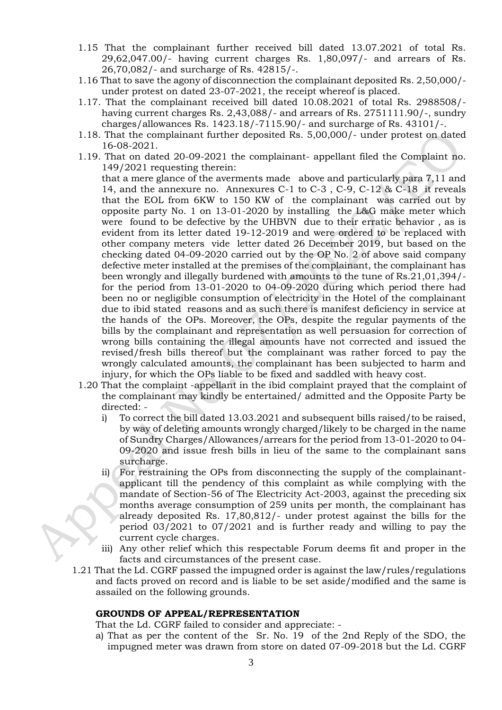- 1.15 That the complainant further received bill dated 13.07.2021 of total Rs. 29,62,047.00/- having current charges Rs. 1,80,097/- and arrears of Rs. 26,70,082/- and surcharge of Rs. 42815/-.
- 1.16 That to save the agony of disconnection the complainant deposited Rs. 2,50,000/ under protest on dated 23-07-2021, the receipt whereof is placed.
- 1.17. That the complainant received bill dated 10.08.2021 of total Rs. 2988508/ having current charges Rs. 2,43,088/- and arrears of Rs. 2751111.90/-, sundry charges/allowances Rs. 1423.18/-7115.90/- and surcharge of Rs. 43101/-.
- 1.18. That the complainant further deposited Rs. 5,00,000/- under protest on dated 16-08-2021.
- 1.19. That on dated 20-09-2021 the complainant- appellant filed the Complaint no. 149/2021 requesting therein:

 that a mere glance of the averments made above and particularly para 7,11 and 14, and the annexure no. Annexures C-1 to C-3 , C-9, C-12 & C-18 it reveals that the EOL from 6KW to 150 KW of the complainant was carried out by opposite party No. 1 on 13-01-2020 by installing the L&G make meter which were found to be defective by the UHBVN due to their erratic behavior , as is evident from its letter dated 19-12-2019 and were ordered to be replaced with other company meters vide letter dated 26 December 2019, but based on the checking dated 04-09-2020 carried out by the OP No. 2 of above said company defective meter installed at the premises of the complainant, the complainant has been wrongly and illegally burdened with amounts to the tune of Rs.21,01,394/ for the period from 13-01-2020 to 04-09-2020 during which period there had been no or negligible consumption of electricity in the Hotel of the complainant due to ibid stated reasons and as such there is manifest deficiency in service at the hands of the OPs. Moreover, the OPs, despite the regular payments of the bills by the complainant and representation as well persuasion for correction of wrong bills containing the illegal amounts have not corrected and issued the revised/fresh bills thereof but the complainant was rather forced to pay the wrongly calculated amounts, the complainant has been subjected to harm and injury, for which the OPs liable to be fixed and saddled with heavy cost.

- 1.20 That the complaint -appellant in the ibid complaint prayed that the complaint of the complainant may kindly be entertained/ admitted and the Opposite Party be directed:
	- i) To correct the bill dated 13.03.2021 and subsequent bills raised/to be raised, by way of deleting amounts wrongly charged/likely to be charged in the name of Sundry Charges/Allowances/arrears for the period from 13-01-2020 to 04- 09-2020 and issue fresh bills in lieu of the same to the complainant sans surcharge.
	- ii) For restraining the OPs from disconnecting the supply of the complainantapplicant till the pendency of this complaint as while complying with the mandate of Section-56 of The Electricity Act-2003, against the preceding six months average consumption of 259 units per month, the complainant has already deposited Rs. 17,80,812/- under protest against the bills for the period 03/2021 to 07/2021 and is further ready and willing to pay the current cycle charges.
	- iii) Any other relief which this respectable Forum deems fit and proper in the facts and circumstances of the present case.
- 1.21 That the Ld. CGRF passed the impugned order is against the law/rules/regulations and facts proved on record and is liable to be set aside/modified and the same is assailed on the following grounds.

#### **GROUNDS OF APPEAL/REPRESENTATION**

That the Ld. CGRF failed to consider and appreciate: -

a) That as per the content of the Sr. No. 19 of the 2nd Reply of the SDO, the impugned meter was drawn from store on dated 07-09-2018 but the Ld. CGRF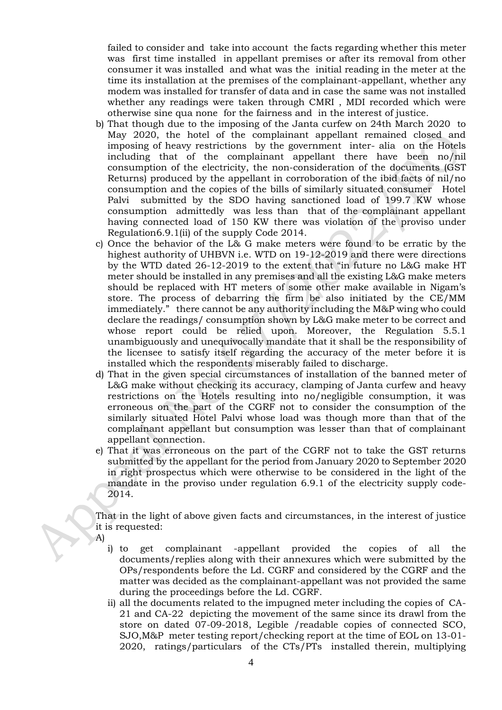failed to consider and take into account the facts regarding whether this meter was first time installed in appellant premises or after its removal from other consumer it was installed and what was the initial reading in the meter at the time its installation at the premises of the complainant-appellant, whether any modem was installed for transfer of data and in case the same was not installed whether any readings were taken through CMRI , MDI recorded which were otherwise sine qua none for the fairness and in the interest of justice.

- b) That though due to the imposing of the Janta curfew on 24th March 2020 to May 2020, the hotel of the complainant appellant remained closed and imposing of heavy restrictions by the government inter- alia on the Hotels including that of the complainant appellant there have been no/nil consumption of the electricity, the non-consideration of the documents (GST Returns) produced by the appellant in corroboration of the ibid facts of nil/no consumption and the copies of the bills of similarly situated consumer Hotel Palvi submitted by the SDO having sanctioned load of 199.7 KW whose consumption admittedly was less than that of the complainant appellant having connected load of 150 KW there was violation of the proviso under Regulation6.9.1(ii) of the supply Code 2014.
- c) Once the behavior of the L& G make meters were found to be erratic by the highest authority of UHBVN i.e. WTD on 19-12-2019 and there were directions by the WTD dated 26-12-2019 to the extent that "in future no L&G make HT meter should be installed in any premises and all the existing L&G make meters should be replaced with HT meters of some other make available in Nigam's store. The process of debarring the firm be also initiated by the CE/MM immediately." there cannot be any authority including the M&P wing who could declare the readings/ consumption shown by L&G make meter to be correct and whose report could be relied upon. Moreover, the Regulation 5.5.1 unambiguously and unequivocally mandate that it shall be the responsibility of the licensee to satisfy itself regarding the accuracy of the meter before it is installed which the respondents miserably failed to discharge.
- d) That in the given special circumstances of installation of the banned meter of L&G make without checking its accuracy, clamping of Janta curfew and heavy restrictions on the Hotels resulting into no/negligible consumption, it was erroneous on the part of the CGRF not to consider the consumption of the similarly situated Hotel Palvi whose load was though more than that of the complainant appellant but consumption was lesser than that of complainant appellant connection.
- e) That it was erroneous on the part of the CGRF not to take the GST returns submitted by the appellant for the period from January 2020 to September 2020 in right prospectus which were otherwise to be considered in the light of the mandate in the proviso under regulation 6.9.1 of the electricity supply code-2014.

That in the light of above given facts and circumstances, in the interest of justice it is requested:

- A)
	- i) to get complainant -appellant provided the copies of all the documents/replies along with their annexures which were submitted by the OPs/respondents before the Ld. CGRF and considered by the CGRF and the matter was decided as the complainant-appellant was not provided the same during the proceedings before the Ld. CGRF.
	- ii) all the documents related to the impugned meter including the copies of CA-21 and CA-22 depicting the movement of the same since its drawl from the store on dated 07-09-2018, Legible /readable copies of connected SCO, SJO,M&P meter testing report/checking report at the time of EOL on 13-01- 2020, ratings/particulars of the CTs/PTs installed therein, multiplying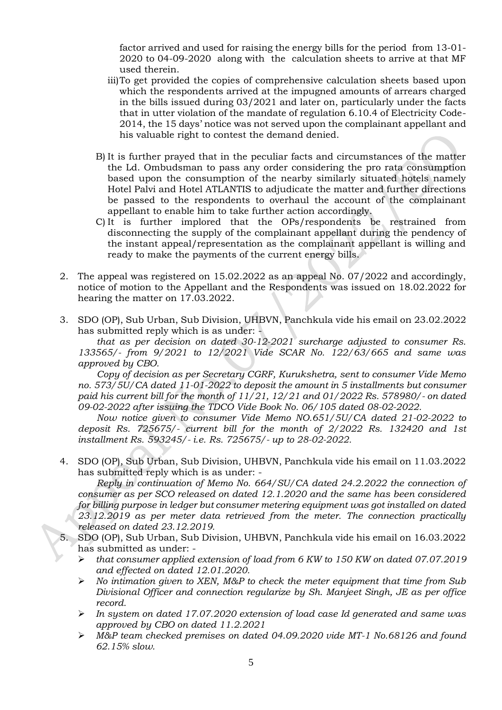factor arrived and used for raising the energy bills for the period from 13-01- 2020 to 04-09-2020 along with the calculation sheets to arrive at that MF used therein.

- iii)To get provided the copies of comprehensive calculation sheets based upon which the respondents arrived at the impugned amounts of arrears charged in the bills issued during 03/2021 and later on, particularly under the facts that in utter violation of the mandate of regulation 6.10.4 of Electricity Code-2014, the 15 days' notice was not served upon the complainant appellant and his valuable right to contest the demand denied.
- B) It is further prayed that in the peculiar facts and circumstances of the matter the Ld. Ombudsman to pass any order considering the pro rata consumption based upon the consumption of the nearby similarly situated hotels namely Hotel Palvi and Hotel ATLANTIS to adjudicate the matter and further directions be passed to the respondents to overhaul the account of the complainant appellant to enable him to take further action accordingly.
- C) It is further implored that the OPs/respondents be restrained from disconnecting the supply of the complainant appellant during the pendency of the instant appeal/representation as the complainant appellant is willing and ready to make the payments of the current energy bills.
- 2. The appeal was registered on 15.02.2022 as an appeal No. 07/2022 and accordingly, notice of motion to the Appellant and the Respondents was issued on 18.02.2022 for hearing the matter on 17.03.2022.
- 3. SDO (OP), Sub Urban, Sub Division, UHBVN, Panchkula vide his email on 23.02.2022 has submitted reply which is as under: -

*that as per decision on dated 30-12-2021 surcharge adjusted to consumer Rs. 133565/- from 9/2021 to 12/2021 Vide SCAR No. 122/63/665 and same was approved by CBO.* 

*Copy of decision as per Secretary CGRF, Kurukshetra, sent to consumer Vide Memo no. 573/5U/CA dated 11-01-2022 to deposit the amount in 5 installments but consumer paid his current bill for the month of 11/21, 12/21 and 01/2022 Rs. 578980/- on dated 09-02-2022 after issuing the TDCO Vide Book No. 06/105 dated 08-02-2022.* 

*Now notice given to consumer Vide Memo NO.651/5U/CA dated 21-02-2022 to deposit Rs. 725675/- current bill for the month of 2/2022 Rs. 132420 and 1st installment Rs. 593245/- i.e. Rs. 725675/- up to 28-02-2022.*

4. SDO (OP), Sub Urban, Sub Division, UHBVN, Panchkula vide his email on 11.03.2022 has submitted reply which is as under: -

*Reply in continuation of Memo No. 664/SU/CA dated 24.2.2022 the connection of consumer as per SCO released on dated 12.1.2020 and the same has been considered for billing purpose in ledger but consumer metering equipment was got installed on dated 23.12.2019 as per meter data retrieved from the meter. The connection practically released on dated 23.12.2019.* 

- 5. SDO (OP), Sub Urban, Sub Division, UHBVN, Panchkula vide his email on 16.03.2022 has submitted as under: -
	- ➢ *that consumer applied extension of load from 6 KW to 150 KW on dated 07.07.2019 and effected on dated 12.01.2020.*
	- ➢ *No intimation given to XEN, M&P to check the meter equipment that time from Sub Divisional Officer and connection regularize by Sh. Manjeet Singh, JE as per office record.*
	- ➢ *In system on dated 17.07.2020 extension of load case Id generated and same was approved by CBO on dated 11.2.2021*
	- ➢ *M&P team checked premises on dated 04.09.2020 vide MT-1 No.68126 and found 62.15% slow.*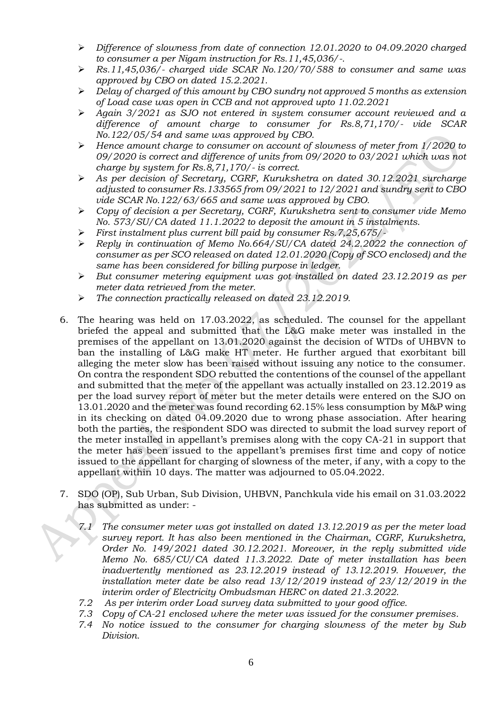- ➢ *Difference of slowness from date of connection 12.01.2020 to 04.09.2020 charged to consumer a per Nigam instruction for Rs.11,45,036/-.*
- ➢ *Rs.11,45,036/- charged vide SCAR No.120/70/588 to consumer and same was approved by CBO on dated 15.2.2021.*
- ➢ *Delay of charged of this amount by CBO sundry not approved 5 months as extension of Load case was open in CCB and not approved upto 11.02.2021*
- ➢ *Again 3/2021 as SJO not entered in system consumer account reviewed and a difference of amount charge to consumer for Rs.8,71,170/- vide SCAR No.122/05/54 and same was approved by CBO.*
- ➢ *Hence amount charge to consumer on account of slowness of meter from 1/2020 to 09/2020 is correct and difference of units from 09/2020 to 03/2021 which was not charge by system for Rs.8,71,170/- is correct.*
- ➢ *As per decision of Secretary, CGRF, Kurukshetra on dated 30.12.2021 surcharge adjusted to consumer Rs.133565 from 09/2021 to 12/2021 and sundry sent to CBO vide SCAR No.122/63/665 and same was approved by CBO.*
- ➢ *Copy of decision a per Secretary, CGRF, Kurukshetra sent to consumer vide Memo No. 573/SU/CA dated 11.1.2022 to deposit the amount in 5 instalments.*
- ➢ *First instalment plus current bill paid by consumer Rs.7,25,675/-*
- ➢ *Reply in continuation of Memo No.664/SU/CA dated 24.2.2022 the connection of consumer as per SCO released on dated 12.01.2020 (Copy of SCO enclosed) and the same has been considered for billing purpose in ledger.*
- ➢ *But consumer metering equipment was got installed on dated 23.12.2019 as per meter data retrieved from the meter.*
- ➢ *The connection practically released on dated 23.12.2019.*
- 6. The hearing was held on 17.03.2022, as scheduled. The counsel for the appellant briefed the appeal and submitted that the L&G make meter was installed in the premises of the appellant on 13.01.2020 against the decision of WTDs of UHBVN to ban the installing of L&G make HT meter. He further argued that exorbitant bill alleging the meter slow has been raised without issuing any notice to the consumer. On contra the respondent SDO rebutted the contentions of the counsel of the appellant and submitted that the meter of the appellant was actually installed on 23.12.2019 as per the load survey report of meter but the meter details were entered on the SJO on 13.01.2020 and the meter was found recording 62.15% less consumption by M&P wing in its checking on dated 04.09.2020 due to wrong phase association. After hearing both the parties, the respondent SDO was directed to submit the load survey report of the meter installed in appellant's premises along with the copy CA-21 in support that the meter has been issued to the appellant's premises first time and copy of notice issued to the appellant for charging of slowness of the meter, if any, with a copy to the appellant within 10 days. The matter was adjourned to 05.04.2022.
- 7. SDO (OP), Sub Urban, Sub Division, UHBVN, Panchkula vide his email on 31.03.2022 has submitted as under: -
	- *7.1 The consumer meter was got installed on dated 13.12.2019 as per the meter load survey report. It has also been mentioned in the Chairman, CGRF, Kurukshetra, Order No. 149/2021 dated 30.12.2021. Moreover, in the reply submitted vide Memo No. 685/CU/CA dated 11.3.2022. Date of meter installation has been inadvertently mentioned as 23.12.2019 instead of 13.12.2019. However, the installation meter date be also read 13/12/2019 instead of 23/12/2019 in the interim order of Electricity Ombudsman HERC on dated 21.3.2022.*
	- *7.2 As per interim order Load survey data submitted to your good office.*
	- *7.3 Copy of CA-21 enclosed where the meter was issued for the consumer premises.*
	- *7.4 No notice issued to the consumer for charging slowness of the meter by Sub Division.*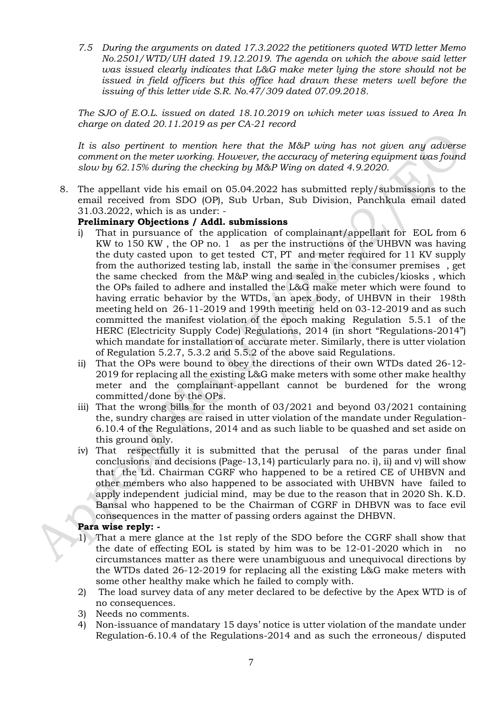*7.5 During the arguments on dated 17.3.2022 the petitioners quoted WTD letter Memo No.2501/WTD/UH dated 19.12.2019. The agenda on which the above said letter was issued clearly indicates that L&G make meter lying the store should not be issued in field officers but this office had drawn these meters well before the issuing of this letter vide S.R. No.47/309 dated 07.09.2018.*

*The SJO of E.O.L. issued on dated 18.10.2019 on which meter was issued to Area In charge on dated 20.11.2019 as per CA-21 record*

*It is also pertinent to mention here that the M&P wing has not given any adverse comment on the meter working. However, the accuracy of metering equipment was found slow by 62.15% during the checking by M&P Wing on dated 4.9.2020.*

8. The appellant vide his email on 05.04.2022 has submitted reply/submissions to the email received from SDO (OP), Sub Urban, Sub Division, Panchkula email dated 31.03.2022, which is as under: -

# **Preliminary Objections / Addl. submissions**

- i) That in pursuance of the application of complainant/appellant for EOL from 6 KW to 150 KW , the OP no. 1 as per the instructions of the UHBVN was having the duty casted upon to get tested CT, PT and meter required for 11 KV supply from the authorized testing lab, install the same in the consumer premises , get the same checked from the M&P wing and sealed in the cubicles/kiosks , which the OPs failed to adhere and installed the L&G make meter which were found to having erratic behavior by the WTDs, an apex body, of UHBVN in their 198th meeting held on 26-11-2019 and 199th meeting held on 03-12-2019 and as such committed the manifest violation of the epoch making Regulation 5.5.1 of the HERC (Electricity Supply Code) Regulations, 2014 (in short "Regulations-2014") which mandate for installation of accurate meter. Similarly, there is utter violation of Regulation 5.2.7, 5.3.2 and 5.5.2 of the above said Regulations.
- ii) That the OPs were bound to obey the directions of their own WTDs dated 26-12- 2019 for replacing all the existing L&G make meters with some other make healthy meter and the complainant-appellant cannot be burdened for the wrong committed/done by the OPs.
- iii) That the wrong bills for the month of 03/2021 and beyond 03/2021 containing the, sundry charges are raised in utter violation of the mandate under Regulation-6.10.4 of the Regulations, 2014 and as such liable to be quashed and set aside on this ground only.
- iv) That respectfully it is submitted that the perusal of the paras under final conclusions and decisions (Page-13,14) particularly para no. i), ii) and v) will show that the Ld. Chairman CGRF who happened to be a retired CE of UHBVN and other members who also happened to be associated with UHBVN have failed to apply independent judicial mind, may be due to the reason that in 2020 Sh. K.D. Bansal who happened to be the Chairman of CGRF in DHBVN was to face evil consequences in the matter of passing orders against the DHBVN.

#### **Para wise reply: -**

- 1) That a mere glance at the 1st reply of the SDO before the CGRF shall show that the date of effecting EOL is stated by him was to be 12-01-2020 which in no circumstances matter as there were unambiguous and unequivocal directions by the WTDs dated 26-12-2019 for replacing all the existing L&G make meters with some other healthy make which he failed to comply with.
- 2) The load survey data of any meter declared to be defective by the Apex WTD is of no consequences.
- 3) Needs no comments.
- 4) Non-issuance of mandatary 15 days' notice is utter violation of the mandate under Regulation-6.10.4 of the Regulations-2014 and as such the erroneous/ disputed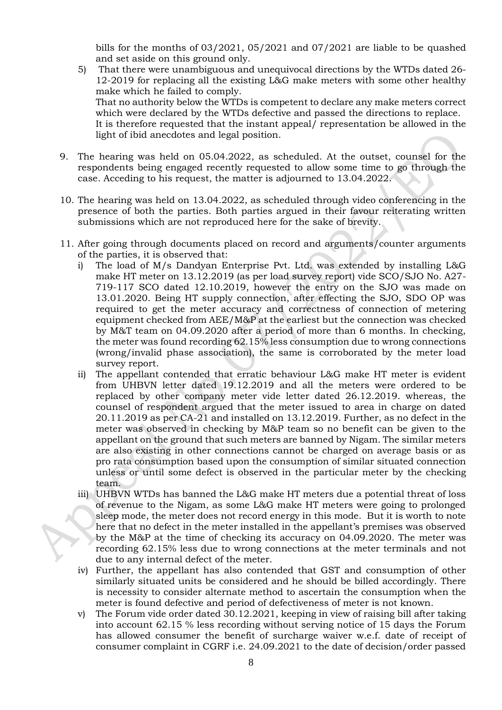bills for the months of 03/2021, 05/2021 and 07/2021 are liable to be quashed and set aside on this ground only.

- 5) That there were unambiguous and unequivocal directions by the WTDs dated 26- 12-2019 for replacing all the existing L&G make meters with some other healthy make which he failed to comply. That no authority below the WTDs is competent to declare any make meters correct which were declared by the WTDs defective and passed the directions to replace. It is therefore requested that the instant appeal/ representation be allowed in the light of ibid anecdotes and legal position.
- 9. The hearing was held on 05.04.2022, as scheduled. At the outset, counsel for the respondents being engaged recently requested to allow some time to go through the case. Acceding to his request, the matter is adjourned to 13.04.2022.
- 10. The hearing was held on 13.04.2022, as scheduled through video conferencing in the presence of both the parties. Both parties argued in their favour reiterating written submissions which are not reproduced here for the sake of brevity.
- 11. After going through documents placed on record and arguments/counter arguments of the parties, it is observed that:
	- i) The load of M/s Dandyan Enterprise Pvt. Ltd. was extended by installing L&G make HT meter on 13.12.2019 (as per load survey report) vide SCO/SJO No. A27- 719-117 SCO dated 12.10.2019, however the entry on the SJO was made on 13.01.2020. Being HT supply connection, after effecting the SJO, SDO OP was required to get the meter accuracy and correctness of connection of metering equipment checked from AEE/M&P at the earliest but the connection was checked by M&T team on 04.09.2020 after a period of more than 6 months. In checking, the meter was found recording 62.15% less consumption due to wrong connections (wrong/invalid phase association), the same is corroborated by the meter load survey report.
	- ii) The appellant contended that erratic behaviour L&G make HT meter is evident from UHBVN letter dated 19.12.2019 and all the meters were ordered to be replaced by other company meter vide letter dated 26.12.2019. whereas, the counsel of respondent argued that the meter issued to area in charge on dated 20.11.2019 as per CA-21 and installed on 13.12.2019. Further, as no defect in the meter was observed in checking by M&P team so no benefit can be given to the appellant on the ground that such meters are banned by Nigam. The similar meters are also existing in other connections cannot be charged on average basis or as pro rata consumption based upon the consumption of similar situated connection unless or until some defect is observed in the particular meter by the checking team.
	- iii) UHBVN WTDs has banned the L&G make HT meters due a potential threat of loss of revenue to the Nigam, as some L&G make HT meters were going to prolonged sleep mode, the meter does not record energy in this mode. But it is worth to note here that no defect in the meter installed in the appellant's premises was observed by the M&P at the time of checking its accuracy on 04.09.2020. The meter was recording 62.15% less due to wrong connections at the meter terminals and not due to any internal defect of the meter.
	- iv) Further, the appellant has also contended that GST and consumption of other similarly situated units be considered and he should be billed accordingly. There is necessity to consider alternate method to ascertain the consumption when the meter is found defective and period of defectiveness of meter is not known.
	- v) The Forum vide order dated 30.12.2021, keeping in view of raising bill after taking into account 62.15 % less recording without serving notice of 15 days the Forum has allowed consumer the benefit of surcharge waiver w.e.f. date of receipt of consumer complaint in CGRF i.e. 24.09.2021 to the date of decision/order passed